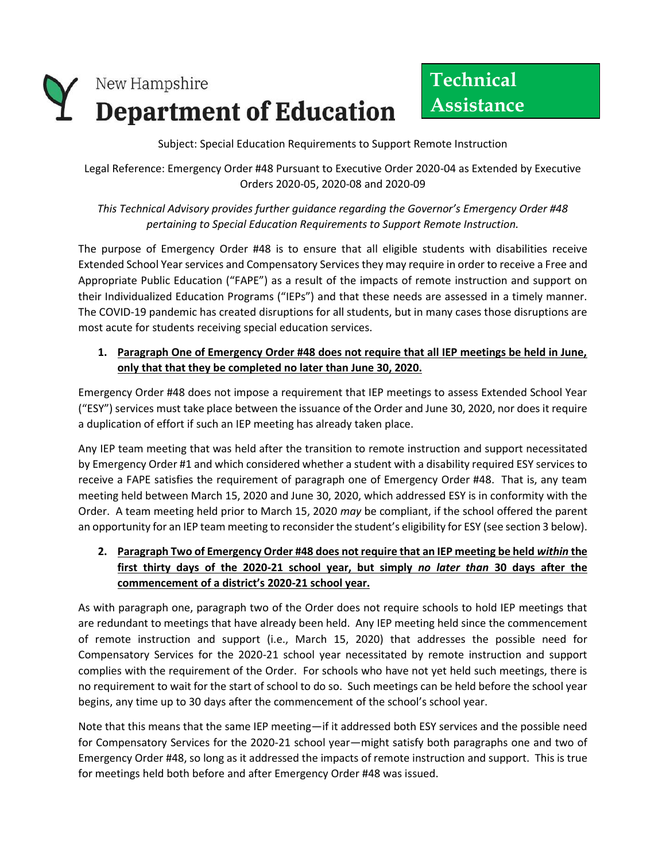

Subject: Special Education Requirements to Support Remote Instruction

Legal Reference: Emergency Order #48 Pursuant to Executive Order 2020-04 as Extended by Executive Orders 2020-05, 2020-08 and 2020-09

## *This Technical Advisory provides further guidance regarding the Governor's Emergency Order #48 pertaining to Special Education Requirements to Support Remote Instruction.*

The purpose of Emergency Order #48 is to ensure that all eligible students with disabilities receive Extended School Year services and Compensatory Services they may require in order to receive a Free and Appropriate Public Education ("FAPE") as a result of the impacts of remote instruction and support on their Individualized Education Programs ("IEPs") and that these needs are assessed in a timely manner. The COVID-19 pandemic has created disruptions for all students, but in many cases those disruptions are most acute for students receiving special education services.

## **1. Paragraph One of Emergency Order #48 does not require that all IEP meetings be held in June, only that that they be completed no later than June 30, 2020.**

Emergency Order #48 does not impose a requirement that IEP meetings to assess Extended School Year ("ESY") services must take place between the issuance of the Order and June 30, 2020, nor does it require a duplication of effort if such an IEP meeting has already taken place.

Any IEP team meeting that was held after the transition to remote instruction and support necessitated by Emergency Order #1 and which considered whether a student with a disability required ESY services to receive a FAPE satisfies the requirement of paragraph one of Emergency Order #48. That is, any team meeting held between March 15, 2020 and June 30, 2020, which addressed ESY is in conformity with the Order. A team meeting held prior to March 15, 2020 *may* be compliant, if the school offered the parent an opportunity for an IEP team meeting to reconsider the student's eligibility for ESY (see section 3 below).

## **2. Paragraph Two of Emergency Order #48 does not require that an IEP meeting be held** *within* **the first thirty days of the 2020-21 school year, but simply** *no later than* **30 days after the commencement of a district's 2020-21 school year.**

As with paragraph one, paragraph two of the Order does not require schools to hold IEP meetings that are redundant to meetings that have already been held. Any IEP meeting held since the commencement of remote instruction and support (i.e., March 15, 2020) that addresses the possible need for Compensatory Services for the 2020-21 school year necessitated by remote instruction and support complies with the requirement of the Order. For schools who have not yet held such meetings, there is no requirement to wait for the start of school to do so. Such meetings can be held before the school year begins, any time up to 30 days after the commencement of the school's school year.

Note that this means that the same IEP meeting—if it addressed both ESY services and the possible need for Compensatory Services for the 2020-21 school year—might satisfy both paragraphs one and two of Emergency Order #48, so long as it addressed the impacts of remote instruction and support. This is true for meetings held both before and after Emergency Order #48 was issued.